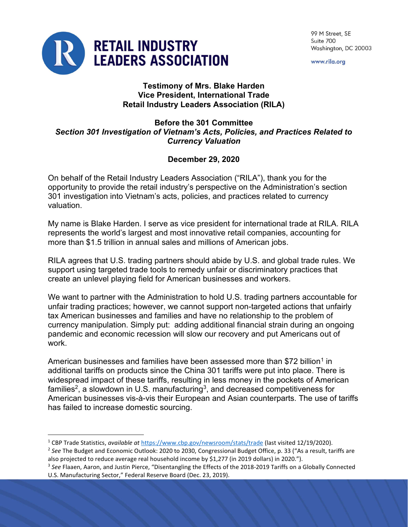

99 M Street, SE Suite 700 Washington, DC 20003

www.rila.org

## Testimony of Mrs. Blake Harden Vice President, International Trade Retail Industry Leaders Association (RILA)

## Before the 301 Committee Section 301 Investigation of Vietnam's Acts, Policies, and Practices Related to Currency Valuation

## December 29, 2020

On behalf of the Retail Industry Leaders Association ("RILA"), thank you for the opportunity to provide the retail industry's perspective on the Administration's section 301 investigation into Vietnam's acts, policies, and practices related to currency valuation.

My name is Blake Harden. I serve as vice president for international trade at RILA. RILA represents the world's largest and most innovative retail companies, accounting for more than \$1.5 trillion in annual sales and millions of American jobs.

RILA agrees that U.S. trading partners should abide by U.S. and global trade rules. We support using targeted trade tools to remedy unfair or discriminatory practices that create an unlevel playing field for American businesses and workers.

We want to partner with the Administration to hold U.S. trading partners accountable for unfair trading practices; however, we cannot support non-targeted actions that unfairly tax American businesses and families and have no relationship to the problem of currency manipulation. Simply put: adding additional financial strain during an ongoing pandemic and economic recession will slow our recovery and put Americans out of work.

American businesses and families have been assessed more than \$72 billion<sup>1</sup> in additional tariffs on products since the China 301 tariffs were put into place. There is widespread impact of these tariffs, resulting in less money in the pockets of American families<sup>2</sup>, a slowdown in U.S. manufacturing $^3$ , and decreased competitiveness for American businesses vis-à-vis their European and Asian counterparts. The use of tariffs has failed to increase domestic sourcing.

<sup>&</sup>lt;sup>1</sup> CBP Trade Statistics, available at https://www.cbp.gov/newsroom/stats/trade (last visited 12/19/2020).

<sup>&</sup>lt;sup>2</sup> See The Budget and Economic Outlook: 2020 to 2030, Congressional Budget Office, p. 33 ("As a result, tariffs are also projected to reduce average real household income by \$1,277 (in 2019 dollars) in 2020.").

 $3$  See Flaaen, Aaron, and Justin Pierce, "Disentangling the Effects of the 2018-2019 Tariffs on a Globally Connected U.S. Manufacturing Sector," Federal Reserve Board (Dec. 23, 2019).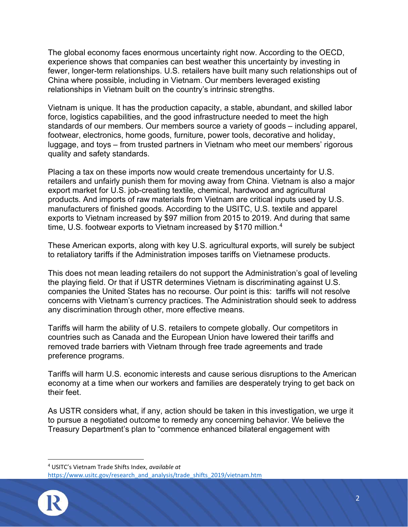The global economy faces enormous uncertainty right now. According to the OECD, experience shows that companies can best weather this uncertainty by investing in fewer, longer-term relationships. U.S. retailers have built many such relationships out of China where possible, including in Vietnam. Our members leveraged existing relationships in Vietnam built on the country's intrinsic strengths.

Vietnam is unique. It has the production capacity, a stable, abundant, and skilled labor force, logistics capabilities, and the good infrastructure needed to meet the high standards of our members. Our members source a variety of goods – including apparel, footwear, electronics, home goods, furniture, power tools, decorative and holiday, luggage, and toys – from trusted partners in Vietnam who meet our members' rigorous quality and safety standards.

Placing a tax on these imports now would create tremendous uncertainty for U.S. retailers and unfairly punish them for moving away from China. Vietnam is also a major export market for U.S. job-creating textile, chemical, hardwood and agricultural products. And imports of raw materials from Vietnam are critical inputs used by U.S. manufacturers of finished goods. According to the USITC, U.S. textile and apparel exports to Vietnam increased by \$97 million from 2015 to 2019. And during that same time, U.S. footwear exports to Vietnam increased by \$170 million.<sup>4</sup>

These American exports, along with key U.S. agricultural exports, will surely be subject to retaliatory tariffs if the Administration imposes tariffs on Vietnamese products.

This does not mean leading retailers do not support the Administration's goal of leveling the playing field. Or that if USTR determines Vietnam is discriminating against U.S. companies the United States has no recourse. Our point is this: tariffs will not resolve concerns with Vietnam's currency practices. The Administration should seek to address any discrimination through other, more effective means.

Tariffs will harm the ability of U.S. retailers to compete globally. Our competitors in countries such as Canada and the European Union have lowered their tariffs and removed trade barriers with Vietnam through free trade agreements and trade preference programs.

Tariffs will harm U.S. economic interests and cause serious disruptions to the American economy at a time when our workers and families are desperately trying to get back on their feet.

As USTR considers what, if any, action should be taken in this investigation, we urge it to pursue a negotiated outcome to remedy any concerning behavior. We believe the Treasury Department's plan to "commence enhanced bilateral engagement with

https://www.usitc.gov/research\_and\_analysis/trade\_shifts\_2019/vietnam.htm



<sup>&</sup>lt;sup>4</sup> USITC's Vietnam Trade Shifts Index, available at